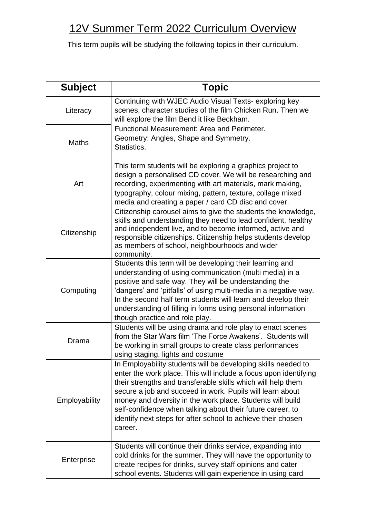## 12V Summer Term 2022 Curriculum Overview

This term pupils will be studying the following topics in their curriculum.

| <b>Subject</b> | <b>Topic</b>                                                                                                                                                                                                                                                                                                                                                                                                                                                          |
|----------------|-----------------------------------------------------------------------------------------------------------------------------------------------------------------------------------------------------------------------------------------------------------------------------------------------------------------------------------------------------------------------------------------------------------------------------------------------------------------------|
| Literacy       | Continuing with WJEC Audio Visual Texts-exploring key<br>scenes, character studies of the film Chicken Run. Then we<br>will explore the film Bend it like Beckham.                                                                                                                                                                                                                                                                                                    |
| <b>Maths</b>   | Functional Measurement: Area and Perimeter.<br>Geometry: Angles, Shape and Symmetry.<br>Statistics.                                                                                                                                                                                                                                                                                                                                                                   |
| Art            | This term students will be exploring a graphics project to<br>design a personalised CD cover. We will be researching and<br>recording, experimenting with art materials, mark making,<br>typography, colour mixing, pattern, texture, collage mixed<br>media and creating a paper / card CD disc and cover.                                                                                                                                                           |
| Citizenship    | Citizenship carousel aims to give the students the knowledge,<br>skills and understanding they need to lead confident, healthy<br>and independent live, and to become informed, active and<br>responsible citizenships. Citizenship helps students develop<br>as members of school, neighbourhoods and wider<br>community.                                                                                                                                            |
| Computing      | Students this term will be developing their learning and<br>understanding of using communication (multi media) in a<br>positive and safe way. They will be understanding the<br>'dangers' and 'pitfalls' of using multi-media in a negative way.<br>In the second half term students will learn and develop their<br>understanding of filling in forms using personal information<br>though practice and role play.                                                   |
| Drama          | Students will be using drama and role play to enact scenes<br>from the Star Wars film 'The Force Awakens'. Students will<br>be working in small groups to create class performances<br>using staging, lights and costume                                                                                                                                                                                                                                              |
| Employability  | In Employability students will be developing skills needed to<br>enter the work place. This will include a focus upon identifying<br>their strengths and transferable skills which will help them<br>secure a job and succeed in work. Pupils will learn about<br>money and diversity in the work place. Students will build<br>self-confidence when talking about their future career, to<br>identify next steps for after school to achieve their chosen<br>career. |
| Enterprise     | Students will continue their drinks service, expanding into<br>cold drinks for the summer. They will have the opportunity to<br>create recipes for drinks, survey staff opinions and cater<br>school events. Students will gain experience in using card                                                                                                                                                                                                              |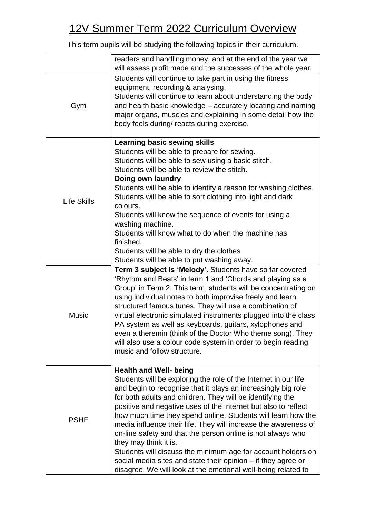## 12V Summer Term 2022 Curriculum Overview

This term pupils will be studying the following topics in their curriculum.

|                    | readers and handling money, and at the end of the year we<br>will assess profit made and the successes of the whole year.                                                                                                                                                                                                                                                                                                                                                                                                                                                                                                                                                                                                      |
|--------------------|--------------------------------------------------------------------------------------------------------------------------------------------------------------------------------------------------------------------------------------------------------------------------------------------------------------------------------------------------------------------------------------------------------------------------------------------------------------------------------------------------------------------------------------------------------------------------------------------------------------------------------------------------------------------------------------------------------------------------------|
| Gym                | Students will continue to take part in using the fitness<br>equipment, recording & analysing.<br>Students will continue to learn about understanding the body<br>and health basic knowledge – accurately locating and naming<br>major organs, muscles and explaining in some detail how the<br>body feels during/ reacts during exercise.                                                                                                                                                                                                                                                                                                                                                                                      |
| <b>Life Skills</b> | <b>Learning basic sewing skills</b><br>Students will be able to prepare for sewing.<br>Students will be able to sew using a basic stitch.<br>Students will be able to review the stitch.<br>Doing own laundry<br>Students will be able to identify a reason for washing clothes.<br>Students will be able to sort clothing into light and dark<br>colours.<br>Students will know the sequence of events for using a<br>washing machine.<br>Students will know what to do when the machine has<br>finished.<br>Students will be able to dry the clothes<br>Students will be able to put washing away.                                                                                                                           |
| <b>Music</b>       | Term 3 subject is 'Melody'. Students have so far covered<br>'Rhythm and Beats' in term 1 and 'Chords and playing as a<br>Group' in Term 2. This term, students will be concentrating on<br>using individual notes to both improvise freely and learn<br>structured famous tunes. They will use a combination of<br>virtual electronic simulated instruments plugged into the class<br>PA system as well as keyboards, guitars, xylophones and<br>even a theremin (think of the Doctor Who theme song). They<br>will also use a colour code system in order to begin reading<br>music and follow structure.                                                                                                                     |
| <b>PSHE</b>        | <b>Health and Well- being</b><br>Students will be exploring the role of the Internet in our life<br>and begin to recognise that it plays an increasingly big role<br>for both adults and children. They will be identifying the<br>positive and negative uses of the Internet but also to reflect<br>how much time they spend online. Students will learn how the<br>media influence their life. They will increase the awareness of<br>on-line safety and that the person online is not always who<br>they may think it is.<br>Students will discuss the minimum age for account holders on<br>social media sites and state their opinion – if they agree or<br>disagree. We will look at the emotional well-being related to |